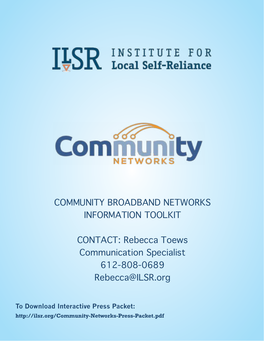# **ILSR INSTITUTE FOR**



COMMUNITY BROADBAND NETWORKS INFORMATION TOOLKIT

> CONTACT: Rebecca Toews Communication Specialist 612-808-0689 Rebecca@ILSR.org

**To Download Interactive Press Packet: http://ilsr.org/Community-Networks-Press-Packet.pdf**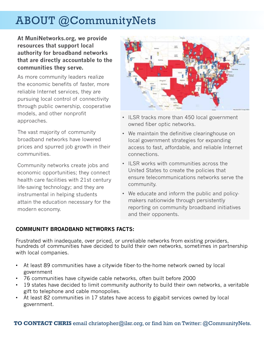# ABOUT @CommunityNets

**At MuniNetworks.org, we provide resources that support local authority for broadband networks that are directly accountable to the communities they serve.**

As more community leaders realize the economic benefits of faster, more reliable Internet services, they are pursuing local control of connectivity through public ownership, cooperative models, and other nonprofit approaches.

The vast majority of community broadband networks have lowered prices and spurred job growth in their communities.

Community networks create jobs and economic opportunities; they connect health care facilities with 21st century life-saving technology; and they are instrumental in helping students attain the education necessary for the modern economy.



- ILSR tracks more than 450 local government owned fiber optic networks.
- We maintain the definitive clearinghouse on local government strategies for expanding access to fast, affordable, and reliable Internet connections.
- • ILSR works with communities across the United States to create the policies that ensure telecommunications networks serve the community.
- We educate and inform the public and policymakers nationwide through persistently reporting on community broadband initiatives and their opponents.

#### **COMMUNITY BROADBAND NETWORKS FACTS:**

Frustrated with inadequate, over priced, or unreliable networks from existing providers, hundreds of communities have decided to build their own networks, sometimes in partnership with local companies.

- At least 89 communities have a citywide fiber-to-the-home network owned by local government
- 76 communities have citywide cable networks, often built before 2000
- 19 states have decided to limit community authority to build their own networks, a veritable gift to telephone and cable monopolies.
- At least 82 communities in 17 states have access to gigabit services owned by local government.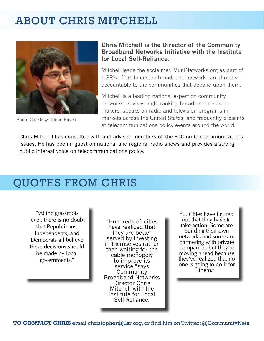## ABOUT CHRIS MITCHELL



Photo Courtesy: Glenn Ricart

#### **Chris Mitchell is the Director of the Community Broadband Networks Initiative with the Institute for Local Self-Reliance.**

Mitchell leads the acclaimed MuniNetworks.org as part of ILSR's effort to ensure broadband networks are directly accountable to the communities that depend upon them.

Mitchell is a leading national expert on community networks, advises high- ranking broadband decisionmakers, speaks on radio and television programs in markets across the United States, and frequently presents at telecommunications policy events around the world.

Chris Mitchell has consulted with and advised members of the FCC on telecommunications issues. He has been a guest on national and regional radio shows and provides a strong public interest voice on telecommunications policy.

## QUOTES FROM CHRIS

"'At the grassroots level, there is no doubt that Republicans, Independents, and Democrats all believe these decisions should be made by local governments."

"Hundreds of cities have realized that they are better served by investing in themselves rather than waiting for the cable monopoly to improve its service,"says **Community** Broadband Networks Director Chris Mitchell with the Institute for Local Self-Reliance.

"... Cities have figured out that they have to take action. Some are building their own networks and some are partnering with private companies, but they're moving ahead because they've realized that no one is going to do it for them."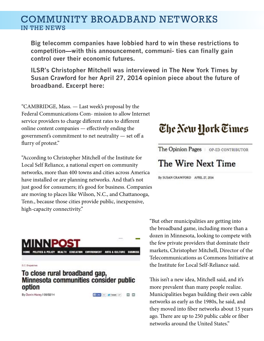## COMMUNITY BROADBAND NETWORKS IN THE NEWS

**Big telecomm companies have lobbied hard to win these restrictions to competition—with this announcement, communi- ties can finally gain control over their economic futures.**

**ILSR's Christopher Mitchell was interviewed in The New York Times by Susan Crawford for her April 27, 2014 opinion piece about the future of broadband. Excerpt here:**

"CAMBRIDGE, Mass. — Last week's proposal by the Federal Communications Com- mission to allow Internet service providers to charge different rates to different online content companies — effectively ending the government's commitment to net neutrality — set off a flurry of protest."

"According to Christopher Mitchell of the Institute for Local Self Reliance, a national expert on community networks, more than 400 towns and cities across America have installed or are planning networks. And that's not just good for consumers; it's good for business. Companies are moving to places like Wilson, N.C., and Chattanooga, Tenn., because those cities provide public, inexpensive, high-capacity connectivity."

HOME POLITICS & POLICY HEALTH EDUCATION ENVIRONMENT ARTS & CULTURE BUSINESS

#### **D.C. Department**

#### To close rural broadband gap, Minnesota communities consider public option

By Devin Henry I 05/02/14

# The New York Times

The Opinion Pages | OP-ED CONTRIBUTOR

## The Wire Next Time

By SUSAN CRAWFORD APRIL 27, 2014

"But other municipalities are getting into the broadband game, including more than a dozen in Minnesota, looking to compete with the few private providers that dominate their markets, Christopher Mitchell, Director of the Telecommunications as Commons Initiative at the Institute for Local Self-Reliance said.

This isn't a new idea, Mitchell said, and it's more prevalent than many people realize. Municipalities began building their own cable networks as early as the 1980s, he said, and they moved into fiber networks about 15 years ago. There are up to 250 public cable or fiber networks around the United States."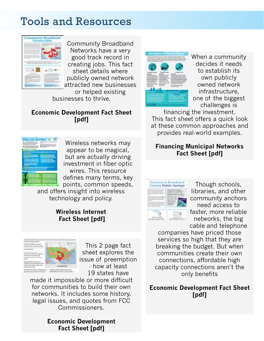## Tools and Resources



Community Broadband Networks have a very good track record in creating jobs. This fact sheet details where publicly owned network attracted new businesses

or helped existing businesses to thrive.

#### **[Economic Development Fact Sheet](http://muninetworks.org/sites/www.muninetworks.org/files/fact-sheet-econ-dev.pdf)  [\[pdf\]](http://muninetworks.org/sites/www.muninetworks.org/files/fact-sheet-econ-dev.pdf)**



Wireless networks may appear to be magical, but are actually driving investment in fiber optic wires. This resource defines many terms, key points, common speeds,

and offers insight into wireless technology and policy.

#### **[Wireless Internet](http://www.ilsr.org/wp-content/uploads/2013/06/wireless-fact-sheet-101.pdf)  [Fact Sheet \[pdf\]](http://www.ilsr.org/wp-content/uploads/2013/06/wireless-fact-sheet-101.pdf)**



This 2 page fact sheet explores the issue of preemption - how at least 19 states have

made it impossible or more difficult for communities to build their own networks. It includes some history, legal issues, and quotes from FCC Commissioners.

#### **[Economic Development](http://muninetworks.org/sites/www.muninetworks.org/files/2page-comty-bb.pdf)  [Fact Sheet \[pdf\]](http://muninetworks.org/sites/www.muninetworks.org/files/2page-comty-bb.pdf)**



When a community decides it needs to establish its own publicly owned network infrastructure, one of the biggest challenges is

financing the investment. This fact sheet offers a quick look at these common approaches and provides real-world examples.

#### **[Financing Municipal Networks](http://www.ilsr.org/wp-content/uploads/2014/01/financing-munis-fact-sheet.pdf)  [Fact Sheet \[pdf\]](http://www.ilsr.org/wp-content/uploads/2014/01/financing-munis-fact-sheet.pdf)**



Though schools, libraries, and other community anchors need access to faster, more reliable networks, the big cable and telephone

companies have priced those services so high that they are breaking the budget. But when communities create their own connections, affordable high capacity connections aren't the only benefits

**[Economic Development Fact Sheet](http://www.ilsr.org/wp-content/uploads/2012/11/fact-sheet-public-finance.pdf) [\[pdf\]](http://www.ilsr.org/wp-content/uploads/2012/11/fact-sheet-public-finance.pdf)**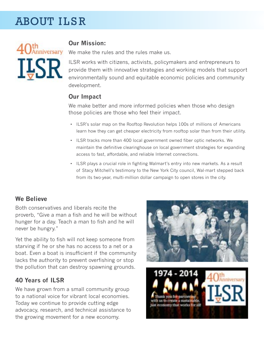# **ABOUT ILSR**



### **Our Mission:**

We make the rules and the rules make us.

ILSR works with citizens, activists, policymakers and entrepreneurs to provide them with innovative strategies and working models that support environmentally sound and equitable economic policies and community development.

## **Our Impact**

We make better and more informed policies when those who design those policies are those who feel their impact.

- ILSR's solar map on the Rooftop Revolution helps 100s of millions of Americans learn how they can get cheaper electricity from rooftop solar than from their utility.
- • ILSR tracks more than 400 local government owned fiber optic networks. We maintain the definitive clearinghouse on local government strategies for expanding access to fast, affordable, and reliable Internet connections.
- ILSR plays a crucial role in fighting Walmart's entry into new markets. As a result of Stacy Mitchell's testimony to the New York City council, Wal-mart stepped back from its two-year, multi-million dollar campaign to open stores in the city.

#### **We Believe**

Both conservatives and liberals recite the proverb, "Give a man a fish and he will be without hunger for a day. Teach a man to fish and he will never be hungry."

Yet the ability to fish will not keep someone from starving if he or she has no access to a net or a boat. Even a boat is insufficient if the community lacks the authority to prevent overfishing or stop the pollution that can destroy spawning grounds.

## **40 Years of ILSR**

We have grown from a small community group to a national voice for vibrant local economies. Today we continue to provide cutting edge advocacy, research, and technical assistance to the growing movement for a new economy.